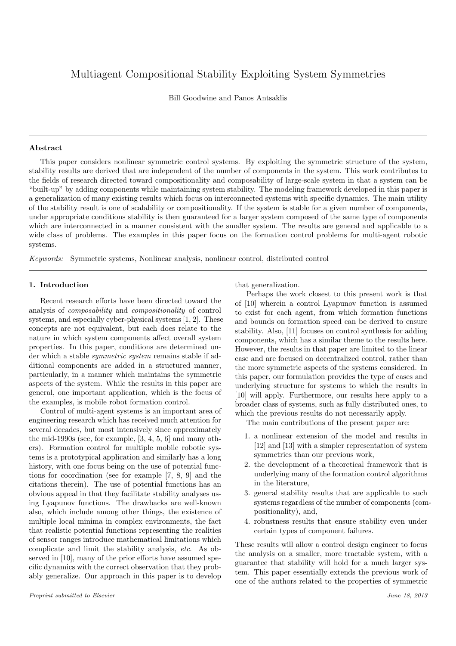# Multiagent Compositional Stability Exploiting System Symmetries

Bill Goodwine and Panos Antsaklis

# Abstract

This paper considers nonlinear symmetric control systems. By exploiting the symmetric structure of the system, stability results are derived that are independent of the number of components in the system. This work contributes to the fields of research directed toward compositionality and composability of large-scale system in that a system can be "built-up" by adding components while maintaining system stability. The modeling framework developed in this paper is a generalization of many existing results which focus on interconnected systems with specific dynamics. The main utility of the stability result is one of scalability or compositionality. If the system is stable for a given number of components, under appropriate conditions stability is then guaranteed for a larger system composed of the same type of components which are interconnected in a manner consistent with the smaller system. The results are general and applicable to a wide class of problems. The examples in this paper focus on the formation control problems for multi-agent robotic systems.

Keywords: Symmetric systems, Nonlinear analysis, nonlinear control, distributed control

# 1. Introduction

Recent research efforts have been directed toward the analysis of composability and compositionality of control systems, and especially cyber-physical systems [1, 2]. These concepts are not equivalent, but each does relate to the nature in which system components affect overall system properties. In this paper, conditions are determined under which a stable symmetric system remains stable if additional components are added in a structured manner, particularly, in a manner which maintains the symmetric aspects of the system. While the results in this paper are general, one important application, which is the focus of the examples, is mobile robot formation control.

Control of multi-agent systems is an important area of engineering research which has received much attention for several decades, but most intensively since approximately the mid-1990s (see, for example, [3, 4, 5, 6] and many others). Formation control for multiple mobile robotic systems is a prototypical application and similarly has a long history, with one focus being on the use of potential functions for coordination (see for example [7, 8, 9] and the citations therein). The use of potential functions has an obvious appeal in that they facilitate stability analyses using Lyapunov functions. The drawbacks are well-known also, which include among other things, the existence of multiple local minima in complex environments, the fact that realistic potential functions representing the realities of sensor ranges introduce mathematical limitations which complicate and limit the stability analysis, etc. As observed in [10], many of the prior efforts have assumed specific dynamics with the correct observation that they probably generalize. Our approach in this paper is to develop

that generalization.

Perhaps the work closest to this present work is that of [10] wherein a control Lyapunov function is assumed to exist for each agent, from which formation functions and bounds on formation speed can be derived to ensure stability. Also, [11] focuses on control synthesis for adding components, which has a similar theme to the results here. However, the results in that paper are limited to the linear case and are focused on decentralized control, rather than the more symmetric aspects of the systems considered. In this paper, our formulation provides the type of cases and underlying structure for systems to which the results in [10] will apply. Furthermore, our results here apply to a broader class of systems, such as fully distributed ones, to which the previous results do not necessarily apply.

The main contributions of the present paper are:

- 1. a nonlinear extension of the model and results in [12] and [13] with a simpler representation of system symmetries than our previous work,
- 2. the development of a theoretical framework that is underlying many of the formation control algorithms in the literature,
- 3. general stability results that are applicable to such systems regardless of the number of components (compositionality), and,
- 4. robustness results that ensure stability even under certain types of component failures.

These results will allow a control design engineer to focus the analysis on a smaller, more tractable system, with a guarantee that stability will hold for a much larger system. This paper essentially extends the previous work of one of the authors related to the properties of symmetric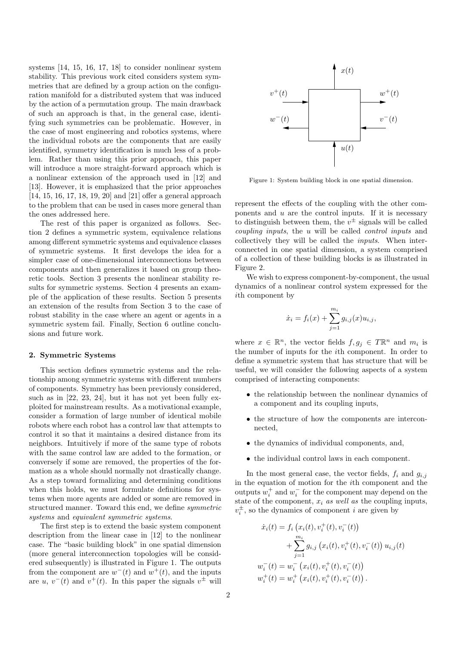systems [14, 15, 16, 17, 18] to consider nonlinear system stability. This previous work cited considers system symmetries that are defined by a group action on the configuration manifold for a distributed system that was induced by the action of a permutation group. The main drawback of such an approach is that, in the general case, identifying such symmetries can be problematic. However, in the case of most engineering and robotics systems, where the individual robots are the components that are easily identified, symmetry identification is much less of a problem. Rather than using this prior approach, this paper will introduce a more straight-forward approach which is a nonlinear extension of the approach used in [12] and [13]. However, it is emphasized that the prior approaches [14, 15, 16, 17, 18, 19, 20] and [21] offer a general approach to the problem that can be used in cases more general than the ones addressed here.

The rest of this paper is organized as follows. Section 2 defines a symmetric system, equivalence relations among different symmetric systems and equivalence classes of symmetric systems. It first develops the idea for a simpler case of one-dimensional interconnections between components and then generalizes it based on group theoretic tools. Section 3 presents the nonlinear stability results for symmetric systems. Section 4 presents an example of the application of these results. Section 5 presents an extension of the results from Section 3 to the case of robust stability in the case where an agent or agents in a symmetric system fail. Finally, Section 6 outline conclusions and future work.

#### 2. Symmetric Systems

This section defines symmetric systems and the relationship among symmetric systems with different numbers of components. Symmetry has been previously considered, such as in [22, 23, 24], but it has not yet been fully exploited for mainstream results. As a motivational example, consider a formation of large number of identical mobile robots where each robot has a control law that attempts to control it so that it maintains a desired distance from its neighbors. Intuitively if more of the same type of robots with the same control law are added to the formation, or conversely if some are removed, the properties of the formation as a whole should normally not drastically change. As a step toward formalizing and determining conditions when this holds, we must formulate definitions for systems when more agents are added or some are removed in structured manner. Toward this end, we define symmetric systems and equivalent symmetric systems.

The first step is to extend the basic system component description from the linear case in [12] to the nonlinear case. The "basic building block" in one spatial dimension (more general interconnection topologies will be considered subsequently) is illustrated in Figure 1. The outputs from the component are  $w^{-}(t)$  and  $w^{+}(t)$ , and the inputs are  $u, v^-(t)$  and  $v^+(t)$ . In this paper the signals  $v^{\pm}$  will



Figure 1: System building block in one spatial dimension.

represent the effects of the coupling with the other components and  $u$  are the control inputs. If it is necessary to distinguish between them, the  $v^{\pm}$  signals will be called coupling inputs, the u will be called control inputs and collectively they will be called the inputs. When interconnected in one spatial dimension, a system comprised of a collection of these building blocks is as illustrated in Figure 2.

We wish to express component-by-component, the usual dynamics of a nonlinear control system expressed for the ith component by

$$
\dot{x}_i = f_i(x) + \sum_{j=1}^{m_i} g_{i,j}(x) u_{i,j},
$$

where  $x \in \mathbb{R}^n$ , the vector fields  $f, g_j \in T\mathbb{R}^n$  and  $m_i$  is the number of inputs for the ith component. In order to define a symmetric system that has structure that will be useful, we will consider the following aspects of a system comprised of interacting components:

- the relationship between the nonlinear dynamics of a component and its coupling inputs,
- the structure of how the components are interconnected,
- the dynamics of individual components, and,
- the individual control laws in each component.

In the most general case, the vector fields,  $f_i$  and  $g_{i,j}$ in the equation of motion for the ith component and the outputs  $w_i^+$  and  $w_i^-$  for the component may depend on the state of the component,  $x_i$  as well as the coupling inputs,  $v_i^{\pm}$ , so the dynamics of component *i* are given by

$$
\dot{x}_i(t) = f_i\left(x_i(t), v_i^+(t), v_i^-(t)\right) \n+ \sum_{j=1}^{m_i} g_{i,j}\left(x_i(t), v_i^+(t), v_i^-(t)\right) u_{i,j}(t) \n w_i^-(t) = w_i^-\left(x_i(t), v_i^+(t), v_i^-(t)\right) \n w_i^+(t) = w_i^+\left(x_i(t), v_i^+(t), v_i^-(t)\right).
$$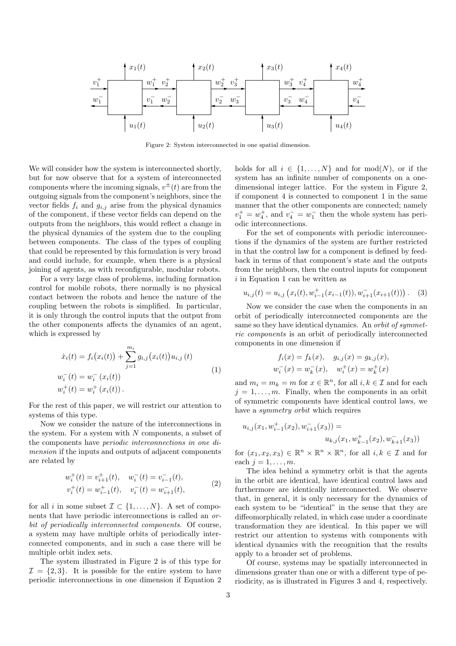

Figure 2: System interconnected in one spatial dimension.

We will consider how the system is interconnected shortly, but for now observe that for a system of interconnected components where the incoming signals,  $v^{\pm}(t)$  are from the outgoing signals from the component's neighbors, since the vector fields  $f_i$  and  $g_{i,j}$  arise from the physical dynamics of the component, if these vector fields can depend on the outputs from the neighbors, this would reflect a change in the physical dynamics of the system due to the coupling between components. The class of the types of coupling that could be represented by this formulation is very broad and could include, for example, when there is a physical joining of agents, as with reconfigurable, modular robots.

For a very large class of problems, including formation control for mobile robots, there normally is no physical contact between the robots and hence the nature of the coupling between the robots is simplified. In particular, it is only through the control inputs that the output from the other components affects the dynamics of an agent, which is expressed by

$$
\dot{x}_i(t) = f_i(x_i(t)) + \sum_{j=1}^{m_i} g_{i,j}(x_i(t))u_{i,j}(t)
$$
  
\n
$$
w_i^-(t) = w_i^-(x_i(t))
$$
  
\n
$$
w_i^+(t) = w_i^+(x_i(t)).
$$
\n(1)

For the rest of this paper, we will restrict our attention to systems of this type.

Now we consider the nature of the interconnections in the system. For a system with  $N$  components, a subset of the components have periodic interconnections in one dimension if the inputs and outputs of adjacent components are related by

$$
w_i^+(t) = v_{i+1}^+(t), \quad w_i^-(t) = v_{i-1}^-(t),
$$
  
\n
$$
v_i^+(t) = w_{i-1}^+(t), \quad v_i^-(t) = w_{i+1}^-(t),
$$
\n(2)

for all i in some subset  $\mathcal{I} \subset \{1, \ldots, N\}$ . A set of components that have periodic interconnections is called an orbit of periodically interconnected components. Of course, a system may have multiple orbits of periodically interconnected components, and in such a case there will be multiple orbit index sets.

The system illustrated in Figure 2 is of this type for  $\mathcal{I} = \{2, 3\}.$  It is possible for the entire system to have periodic interconnections in one dimension if Equation 2

holds for all  $i \in \{1, ..., N\}$  and for mod(N), or if the system has an infinite number of components on a onedimensional integer lattice. For the system in Figure 2, if component 4 is connected to component 1 in the same manner that the other components are connected; namely  $v_1^+ = w_4^+$ , and  $v_4^- = w_1^-$  then the whole system has periodic interconnections.

For the set of components with periodic interconnections if the dynamics of the system are further restricted in that the control law for a component is defined by feedback in terms of that component's state and the outputs from the neighbors, then the control inputs for component  $i$  in Equation 1 can be written as

$$
u_{i,j}(t) = u_{i,j}\left(x_i(t), w_{i-1}^+(x_{i-1}(t)), w_{i+1}^-(x_{i+1}(t))\right).
$$
 (3)

Now we consider the case when the components in an orbit of periodically interconnected components are the same so they have identical dynamics. An *orbit of symmet*ric components is an orbit of periodically interconnected components in one dimension if

$$
f_i(x) = f_k(x), \quad g_{i,j}(x) = g_{k,j}(x),
$$
  

$$
w_i^-(x) = w_k^-(x), \quad w_i^+(x) = w_k^+(x)
$$

and  $m_i = m_k = m$  for  $x \in \mathbb{R}^n$ , for all  $i, k \in \mathcal{I}$  and for each  $j = 1, \ldots, m$ . Finally, when the components in an orbit of symmetric components have identical control laws, we have a *symmetry orbit* which requires

$$
u_{i,j}(x_1, w_{i-1}^+(x_2), w_{i+1}^-(x_3)) =
$$
  

$$
u_{k,j}(x_1, w_{k-1}^+(x_2), w_{k+1}^-(x_3))
$$

for  $(x_1, x_2, x_3) \in \mathbb{R}^n \times \mathbb{R}^n \times \mathbb{R}^n$ , for all  $i, k \in \mathcal{I}$  and for each  $j = 1, \ldots, m$ .

The idea behind a symmetry orbit is that the agents in the orbit are identical, have identical control laws and furthermore are identically interconnected. We observe that, in general, it is only necessary for the dynamics of each system to be "identical" in the sense that they are diffeomorphically related, in which case under a coordinate transformation they are identical. In this paper we will restrict our attention to systems with components with identical dynamics with the recognition that the results apply to a broader set of problems.

Of course, systems may be spatially interconnected in dimensions greater than one or with a different type of periodicity, as is illustrated in Figures 3 and 4, respectively.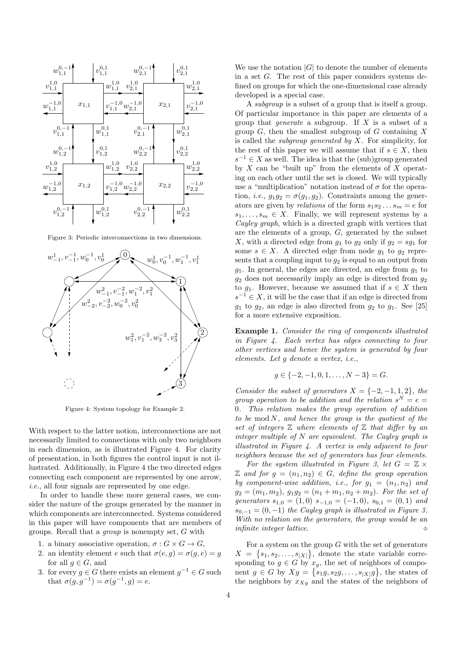

Figure 3: Periodic interconnections in two dimensions.



Figure 4: System topology for Example 2.

With respect to the latter notion, interconnections are not necessarily limited to connections with only two neighbors in each dimension, as is illustrated Figure 4. For clarity of presentation, in both figures the control input is not illustrated. Additionally, in Figure 4 the two directed edges connecting each component are represented by one arrow, i.e., all four signals are represented by one edge.

In order to handle these more general cases, we consider the nature of the groups generated by the manner in which components are interconnected. Systems considered in this paper will have components that are members of groups. Recall that a group is nonempty set, G with

- 1. a binary associative operation,  $\sigma: G \times G \to G$ ,
- 2. an identity element e such that  $\sigma(e,q) = \sigma(q,e) = q$ for all  $q \in G$ , and
- 3. for every  $g \in G$  there exists an element  $g^{-1} \in G$  such that  $\sigma(g, g^{-1}) = \sigma(g^{-1}, g) = e$ .

We use the notation  $|G|$  to denote the number of elements in a set G. The rest of this paper considers systems defined on groups for which the one-dimensional case already developed is a special case.

A subgroup is a subset of a group that is itself a group. Of particular importance in this paper are elements of a group that *generate* a subgroup. If  $X$  is a subset of a group  $G$ , then the smallest subgroup of  $G$  containing  $X$ is called the *subgroup generated by X*. For simplicity, for the rest of this paper we will assume that if  $s \in X$ , then  $s^{-1}$  ∈ X as well. The idea is that the (sub)group generated by  $X$  can be "built up" from the elements of  $X$  operating on each other until the set is closed. We will typically use a "multiplication" notation instead of  $\sigma$  for the operation, *i.e.*,  $g_1g_2 = \sigma(g_1, g_2)$ . Constraints among the generators are given by *relations* of the form  $s_1 s_2 \dots s_m = e$  for  $s_1, \ldots, s_m \in X$ . Finally, we will represent systems by a Cayley graph, which is a directed graph with vertices that are the elements of a group, G, generated by the subset X, with a directed edge from  $g_1$  to  $g_2$  only if  $g_2 = sg_1$  for some  $s \in X$ . A directed edge from node  $g_1$  to  $g_2$  represents that a coupling input to  $g_2$  is equal to an output from  $g_1$ . In general, the edges are directed, an edge from  $g_1$  to  $g_2$  does not necessarily imply an edge is directed from  $g_2$ to  $g_1$ . However, because we assumed that if  $s \in X$  then  $s^{-1} \in X$ , it will be the case that if an edge is directed from  $g_1$  to  $g_2$ , an edge is also directed from  $g_2$  to  $g_1$ . See [25] for a more extensive exposition.

Example 1. Consider the ring of components illustrated in Figure 4. Each vertex has edges connecting to four other vertices and hence the system is generated by four elements. Let g denote a vertex, i.e.,

$$
g \in \{-2, -1, 0, 1, \dots, N-3\} = G.
$$

Consider the subset of generators  $X = \{-2, -1, 1, 2\}$ , the group operation to be addition and the relation  $s^N = e =$ 0. This relation makes the group operation of addition to be mod  $N$ , and hence the group is the quotient of the set of integers  $\mathbb Z$  where elements of  $\mathbb Z$  that differ by an integer multiple of N are equivalent. The Cayley graph is illustrated in Figure 4. A vertex is only adjacent to four neighbors because the set of generators has four elements.

For the system illustrated in Figure 3, let  $G = \mathbb{Z} \times$  $\mathbb Z$  and for  $q = (n_1, n_2) \in G$ , define the group operation by component-wise addition, i.e., for  $q_1 = (n_1, n_2)$  and  $g_2 = (m_1, m_2), g_1 g_2 = (n_1 + m_1, n_2 + m_2).$  For the set of generators  $s_{1,0} = (1,0)$   $s_{-1,0} = (-1,0)$ ,  $s_{0,1} = (0,1)$  and  $s_{0,-1} = (0,-1)$  the Cayley graph is illustrated in Figure 3. With no relation on the generators, the group would be an  $infinite\,\, \hbox{integer lattice.}$ 

For a system on the group  $G$  with the set of generators  $X = \{s_1, s_2, \ldots, s_{|X|}\},\$  denote the state variable corresponding to  $g \in G$  by  $x_g$ , the set of neighbors of component  $g \in G$  by  $Xg = \{s_1g, s_2g, \ldots, s_{|X|}g\}$ , the states of the neighbors by  $x_{Xg}$  and the states of the neighbors of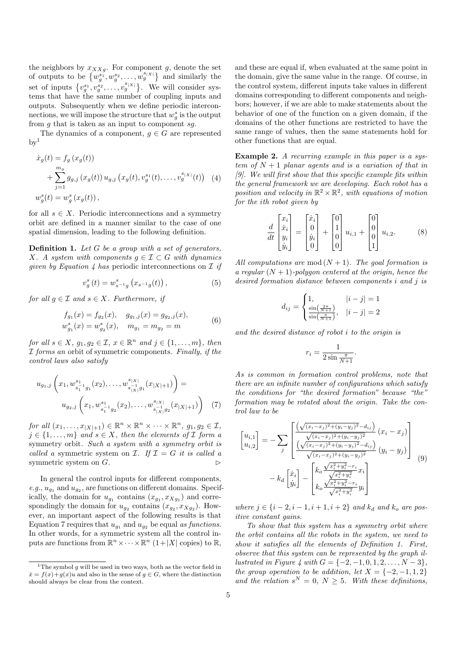the neighbors by  $x_{XXg}$ . For component g, denote the set of outputs to be  $\{w_{g}^{s_1}, w_{g}^{s_2}, \ldots, w_{g}^{s_{|X|}}\}$  and similarly the set of inputs  $\{v_g^{s_1}, v_g^{s_2}, \ldots, v_g^{s_{|X|}}\}$ . We will consider systems that have the same number of coupling inputs and outputs. Subsequently when we define periodic interconnections, we will impose the structure that  $w_g^s$  is the output from  $g$  that is taken as an input to component  $sg$ .

The dynamics of a component,  $g \in G$  are represented  $hv<sup>1</sup>$ 

$$
\dot{x}_g(t) = f_g(x_g(t)) \n+ \sum_{j=1}^{m_g} g_{g,j}(x_g(t)) u_{g,j}(x_g(t), v_g^{s_1}(t), \dots, v_g^{s_{|X|}}(t))
$$
\n(4)\n
$$
w_g^s(t) = w_g^s(x_g(t)),
$$

for all  $s \in X$ . Periodic interconnections and a symmetry orbit are defined in a manner similar to the case of one spatial dimension, leading to the following definition.

**Definition 1.** Let  $G$  be a group with a set of generators, X. A system with components  $g \in \mathcal{I} \subset G$  with dynamics qiven by Equation 4 has periodic interconnections on  $\mathcal I$  if

$$
v_g^s(t) = w_{s^{-1}g}^s(x_{s^{-1}g}(t)),
$$
\n(5)

for all  $q \in \mathcal{I}$  and  $s \in X$ . Furthermore, if

$$
f_{g_1}(x) = f_{g_2}(x), \quad g_{g_1,j}(x) = g_{g_2,j}(x),
$$
  
\n
$$
w_{g_1}^s(x) = w_{g_2}^s(x), \quad m_{g_1} = m_{g_2} = m
$$
\n(6)

for all  $s \in X$ ,  $g_1, g_2 \in \mathcal{I}$ ,  $x \in \mathbb{R}^n$  and  $j \in \{1, \ldots, m\}$ , then I forms an orbit of symmetric components. Finally, if the control laws also satisfy

$$
u_{g_1,j}\left(x_1, w_{s_1^{-1}g_1}^{s_1}(x_2), \dots, w_{s_{|X|}^{-1}g_1}^{s_{|X|}}(x_{|X|+1})\right) =
$$

$$
u_{g_2,j}\left(x_1, w_{s_1^{-1}g_2}^{s_1}(x_2), \dots, w_{s_{|X|}^{-1}g_2}^{s_{|X|}}(x_{|X|+1})\right) \quad (7)
$$

for all  $(x_1, \ldots, x_{|X|+1}) \in \mathbb{R}^n \times \mathbb{R}^n \times \cdots \times \mathbb{R}^n$ ,  $g_1, g_2 \in \mathcal{I}$ ,  $j \in \{1, \ldots, m\}$  and  $s \in X$ , then the elements of  $\mathcal I$  form a symmetry orbit. Such a system with a symmetry orbit is called a symmetric system on  $\mathcal I$ . If  $\mathcal I = G$  it is called a symmetric system on  $G$ . symmetric system on  $G$ .

In general the control inputs for different components,  $e.g., u_{g_1}$  and  $u_{g_2}$ , are functions on different domains. Specifically, the domain for  $u_{g_1}$  contains  $(x_{g_1}, x_{Xg_1})$  and correspondingly the domain for  $u_{g_2}$  contains  $(x_{g_2}, x_{Xg_2})$ . However, an important aspect of the following results is that Equation 7 requires that  $u_{g_1}$  and  $u_{g_2}$  be equal as functions. In other words, for a symmetric system all the control inputs are functions from  $\mathbb{R}^n \times \cdots \times \mathbb{R}^n$   $(1+|X|)$  copies) to  $\mathbb{R}$ ,

and these are equal if, when evaluated at the same point in the domain, give the same value in the range. Of course, in the control system, different inputs take values in different domains corresponding to different components and neighbors; however, if we are able to make statements about the behavior of one of the function on a given domain, if the domains of the other functions are restricted to have the same range of values, then the same statements hold for other functions that are equal.

Example 2. A recurring example in this paper is a system of  $N+1$  planar agents and is a variation of that in  $[9]$ . We will first show that this specific example fits within the general framework we are developing. Each robot has a position and velocity in  $\mathbb{R}^2 \times \mathbb{R}^2$ , with equations of motion for the ith robot given by

$$
\frac{d}{dt} \begin{bmatrix} x_i \\ \dot{x}_i \\ y_i \\ \dot{y}_i \end{bmatrix} = \begin{bmatrix} \dot{x}_i \\ 0 \\ \dot{y}_i \\ 0 \end{bmatrix} + \begin{bmatrix} 0 \\ 1 \\ 0 \\ 0 \end{bmatrix} u_{i,1} + \begin{bmatrix} 0 \\ 0 \\ 0 \\ 1 \end{bmatrix} u_{i,2}.
$$
 (8)

All computations are mod  $(N + 1)$ . The goal formation is a regular  $(N + 1)$ -polygon centered at the origin, hence the desired formation distance between components i and j is

$$
d_{ij} = \begin{cases} 1, & |i - j| = 1 \\ \frac{\sin(\frac{2\pi}{N+1})}{\sin(\frac{\pi}{N+1})}, & |i - j| = 2 \end{cases}
$$

and the desired distance of robot i to the origin is

$$
r_i = \frac{1}{2\sin\frac{\pi}{N+1}}.
$$

As is common in formation control problems, note that there are an infinite number of configurations which satisfy the conditions for "the desired formation" because "the" formation may be rotated about the origin. Take the control law to be

$$
\begin{bmatrix} u_{i,1} \\ u_{i,2} \end{bmatrix} = -\sum_{j} \begin{bmatrix} \frac{\left(\sqrt{(x_i - x_j)^2 + (y_i - y_j)^2} - d_{ij}\right)}{\sqrt{(x_i - x_j)^2 + (y_i - y_j)^2}} (x_i - x_j) \\ \frac{\left(\sqrt{(x_i - x_j)^2 + (y_i - y_j)^2} - d_{ij}\right)}{\sqrt{(x_i - x_j)^2 + (y_i - y_j)^2}} (y_i - y_j) \end{bmatrix}
$$
\n
$$
-k_d \begin{bmatrix} \dot{x}_i \\ \dot{y}_i \end{bmatrix} - \begin{bmatrix} k_o \frac{\sqrt{x_i^2 + y_i^2} - r_i}{\sqrt{x_i^2 + y_i^2}} x_i \\ k_o \frac{\sqrt{x_i^2 + y_i^2} - r_i}{\sqrt{x_i^2 + y_i^2}} y_i \end{bmatrix}
$$
\n(9)

where  $j \in \{i-2, i-1, i+1, i+2\}$  and  $k_d$  and  $k_o$  are positive constant gains.

To show that this system has a symmetry orbit where the orbit contains all the robots in the system, we need to show it satisfies all the elements of Definition 1. First, observe that this system can be represented by the graph illustrated in Figure 4 with  $G = \{-2, -1, 0, 1, 2, \ldots, N - 3\},\$ the group operation to be addition, let  $X = \{-2, -1, 1, 2\}$ and the relation  $s^N = 0$ ,  $N \geq 5$ . With these definitions,

<sup>&</sup>lt;sup>1</sup>The symbol  $q$  will be used in two ways, both as the vector field in  $\dot{x} = f(x) + g(x)u$  and also in the sense of  $g \in G$ , where the distinction should always be clear from the context.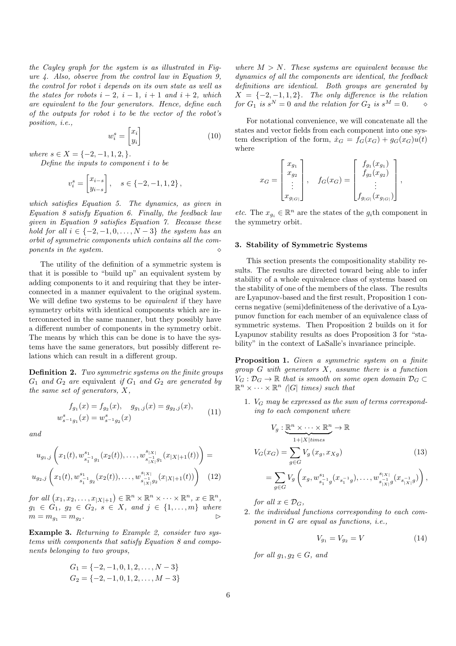the Cayley graph for the system is as illustrated in Figure 4. Also, observe from the control law in Equation 9, the control for robot i depends on its own state as well as the states for robots  $i - 2$ ,  $i - 1$ ,  $i + 1$  and  $i + 2$ , which are equivalent to the four generators. Hence, define each of the outputs for robot i to be the vector of the robot's position, i.e.,

$$
w_i^s = \begin{bmatrix} x_i \\ y_i \end{bmatrix} \tag{10}
$$

where  $s \in X = \{-2, -1, 1, 2, \}.$ 

Define the inputs to component i to be

$$
v_i^s=\begin{bmatrix}x_{i-s}\\y_{i-s}\end{bmatrix},\quad s\in\{-2,-1,1,2\}\,,
$$

which satisfies Equation 5. The dynamics, as given in Equation 8 satisfy Equation 6. Finally, the feedback law given in Equation 9 satisfies Equation 7. Because these hold for all  $i \in \{-2, -1, 0, \ldots, N-3\}$  the system has an orbit of symmetric components which contains all the components in the system.

The utility of the definition of a symmetric system is that it is possible to "build up" an equivalent system by adding components to it and requiring that they be interconnected in a manner equivalent to the original system. We will define two systems to be *equivalent* if they have symmetry orbits with identical components which are interconnected in the same manner, but they possibly have a different number of components in the symmetry orbit. The means by which this can be done is to have the systems have the same generators, but possibly different relations which can result in a different group.

Definition 2. Two symmetric systems on the finite groups  $G_1$  and  $G_2$  are equivalent if  $G_1$  and  $G_2$  are generated by the same set of generators, X,

$$
f_{g_1}(x) = f_{g_2}(x), \quad g_{g_1,j}(x) = g_{g_2,j}(x),
$$
  

$$
w_{s-1g_1}^s(x) = w_{s-1g_2}^s(x)
$$
 (11)

and

$$
u_{g_1,j}\left(x_1(t), w_{s_1^{-1}g_1}^{s_1}(x_2(t)), \dots, w_{s_{|X|}^{-1}g_1}^{s_{|X|}}(x_{|X|+1}(t))\right) =
$$
  

$$
u_{g_2,j}\left(x_1(t), w_{s_1^{-1}g_2}^{s_1}(x_2(t)), \dots, w_{s_{|X|}^{-1}g_2}^{s_{|X|}}(x_{|X|+1}(t))\right) \quad (12)
$$

for all  $(x_1, x_2, \ldots, x_{|X|+1}) \in \mathbb{R}^n \times \mathbb{R}^n \times \cdots \times \mathbb{R}^n, x \in \mathbb{R}^n$ ,  $g_1 \in G_1, g_2 \in G_2, s \in X, and j \in \{1, ..., m\}$  where  $m = m_{g_1} = m_{g_2}$ .  $\Box$ 

Example 3. Returning to Example 2, consider two systems with components that satisfy Equation 8 and components belonging to two groups,

$$
G_1 = \{-2, -1, 0, 1, 2, \dots, N - 3\}
$$
  

$$
G_2 = \{-2, -1, 0, 1, 2, \dots, M - 3\}
$$

where  $M > N$ . These systems are equivalent because the dynamics of all the components are identical, the feedback definitions are identical. Both groups are generated by  $X = \{-2, -1, 1, 2\}$ . The only difference is the relation for  $G_1$  is  $s^N = 0$  and the relation for  $G_2$  is  $s^M = 0$ . for  $G_1$  is  $s^N = 0$  and the relation for  $G_2$  is  $s^M = 0$ .  $\diamond$ 

For notational convenience, we will concatenate all the states and vector fields from each component into one system description of the form,  $\dot{x}_G = f_G(x_G) + g_G(x_G)u(t)$ where

$$
x_G = \begin{bmatrix} x_{g_1} \\ x_{g_2} \\ \vdots \\ x_{g_{|G|}} \end{bmatrix}, \quad f_G(x_G) = \begin{bmatrix} f_{g_1}(x_{g_1}) \\ f_{g_2}(x_{g_2}) \\ \vdots \\ f_{g_{|G|}}(x_{g_{|G|}}) \end{bmatrix},
$$

*etc*. The  $x_{g_i} \in \mathbb{R}^n$  are the states of the  $g_i$ <sup>th</sup> component in the symmetry orbit.

#### 3. Stability of Symmetric Systems

This section presents the compositionality stability results. The results are directed toward being able to infer stability of a whole equivalence class of systems based on the stability of one of the members of the class. The results are Lyapunov-based and the first result, Proposition 1 concerns negative (semi)definiteness of the derivative of a Lyapunov function for each member of an equivalence class of symmetric systems. Then Proposition 2 builds on it for Lyapunov stability results as does Proposition 3 for "stability" in the context of LaSalle's invariance principle.

Proposition 1. Given a symmetric system on a finite group  $G$  with generators  $X$ , assume there is a function  $V_G: \mathcal{D}_G \to \mathbb{R}$  that is smooth on some open domain  $\mathcal{D}_G \subset$  $\mathbb{R}^n \times \cdots \times \mathbb{R}^n$  (|G| times) such that

1.  $V_G$  may be expressed as the sum of terms corresponding to each component where

$$
V_g: \underbrace{\mathbb{R}^n \times \cdots \times \mathbb{R}^n}_{1+|X|\text{times}} \to \mathbb{R}
$$
  
\n
$$
V_G(x_G) = \sum_{g \in G} V_g(x_g, x_{Xg})
$$
\n
$$
= \sum_{g \in G} V_g\left(x_g, w_{s_1^{-1}g}^{s_1}(x_{s_1^{-1}g}), \dots, w_{s_{|X|}^{s_{|X|}^{s_1}}(x_{s_{|X|}^{-1}g})\right),
$$
\n(13)

for all  $x \in \mathcal{D}_G$ ,

2. the individual functions corresponding to each component in  $G$  are equal as functions, i.e.,

$$
V_{g_1} = V_{g_2} = V \tag{14}
$$

for all  $g_1, g_2 \in G$ , and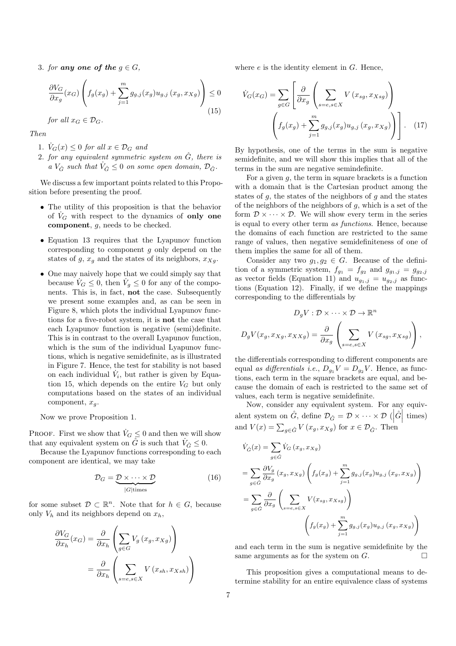3. for any one of the  $g \in G$ ,

$$
\frac{\partial V_G}{\partial x_g}(x_G) \left( f_g(x_g) + \sum_{j=1}^m g_{g,j}(x_g) u_{g,j}(x_g, x_{Xg}) \right) \le 0
$$
\n(15)

for all  $x_G \in \mathcal{D}_G$ .

Then

- 1.  $\dot{V}_G(x) \leq 0$  for all  $x \in \mathcal{D}_G$  and
- 2. for any equivalent symmetric system on  $\hat{G}$ , there is a  $V_{\hat{G}}$  such that  $\dot{V}_{\hat{G}} \leq 0$  on some open domain,  $\mathcal{D}_{\hat{G}}$ .

We discuss a few important points related to this Proposition before presenting the proof.

- The utility of this proposition is that the behavior of  $V_G$  with respect to the dynamics of only one component, g, needs to be checked.
- Equation 13 requires that the Lyapunov function corresponding to component g only depend on the states of g,  $x_q$  and the states of its neighbors,  $x_{Xq}$ .
- One may naively hope that we could simply say that because  $V_G \leq 0$ , then  $V_g \leq 0$  for any of the components. This is, in fact, not the case. Subsequently we present some examples and, as can be seen in Figure 8, which plots the individual Lyapunov functions for a five-robot system, it is not the case that each Lyapunov function is negative (semi)definite. This is in contrast to the overall Lyapunov function, which is the sum of the individual Lyapunov functions, which is negative semidefinite, as is illustrated in Figure 7. Hence, the test for stability is not based on each individual  $\dot{V}_i$ , but rather is given by Equation 15, which depends on the entire  $V_G$  but only computations based on the states of an individual component,  $x_q$ .

Now we prove Proposition 1.

PROOF. First we show that  $\dot{V}_G \leq 0$  and then we will show that any equivalent system on  $\hat{G}$  is such that  $\dot{V}_{\hat{G}} \leq 0$ .

Because the Lyapunov functions corresponding to each component are identical, we may take

$$
\mathcal{D}_G = \underbrace{\mathcal{D} \times \cdots \times \mathcal{D}}_{|G|\text{times}}
$$
 (16)

for some subset  $\mathcal{D} \subset \mathbb{R}^n$ . Note that for  $h \in G$ , because only  $V_h$  and its neighbors depend on  $x_h$ ,

$$
\frac{\partial V_G}{\partial x_h}(x_G) = \frac{\partial}{\partial x_h} \left( \sum_{g \in G} V_g(x_g, x_{Xg}) \right)
$$

$$
= \frac{\partial}{\partial x_h} \left( \sum_{s=e, s \in X} V(x_{sh}, x_{Xsh}) \right)
$$

where  $e$  is the identity element in  $G$ . Hence,

$$
\dot{V}_G(x_G) = \sum_{g \in G} \left[ \frac{\partial}{\partial x_g} \left( \sum_{s=e,s \in X} V(x_{sg}, x_{Xsg}) \right) \left( f_g(x_g) + \sum_{j=1}^m g_{g,j}(x_g) u_{g,j}(x_g, x_{Xg}) \right) \right].
$$
 (17)

By hypothesis, one of the terms in the sum is negative semidefinite, and we will show this implies that all of the terms in the sum are negative semindefinite.

For a given  $q$ , the term in square brackets is a function with a domain that is the Cartesian product among the states of  $g$ , the states of the neighbors of  $g$  and the states of the neighbors of the neighbors of  $g$ , which is a set of the form  $\mathcal{D} \times \cdots \times \mathcal{D}$ . We will show every term in the series is equal to every other term as functions. Hence, because the domains of each function are restricted to the same range of values, then negative semidefiniteness of one of them implies the same for all of them.

Consider any two  $g_1, g_2 \in G$ . Because of the definition of a symmetric system,  $f_{g_1} = f_{g_2}$  and  $g_{g_1,j} = g_{g_2,j}$ as vector fields (Equation 11) and  $u_{g_1,j} = u_{g_2,j}$  as functions (Equation 12). Finally, if we define the mappings corresponding to the differentials by

$$
D_g V : \mathcal{D} \times \cdots \times \mathcal{D} \to \mathbb{R}^n
$$

$$
D_g V(x_g, x_{Xg}, x_{XXg}) = \frac{\partial}{\partial x_g} \left( \sum_{s=e, s \in X} V(x_{sg}, x_{Xsg}) \right),
$$

the differentials corresponding to different components are equal as differentials i.e.,  $D_{g_1} V = D_{g_2} V$ . Hence, as functions, each term in the square brackets are equal, and because the domain of each is restricted to the same set of values, each term is negative semidefinite.

Now, consider any equivalent system. For any equivalent system on  $\hat{G}$ , define  $\mathcal{D}_{\hat{G}} = \mathcal{D} \times \cdots \times \mathcal{D}$  ( $|\hat{G}|$  times) and  $V(x) = \sum_{g \in \hat{G}} V(x_g, x_{Xg})$  for  $x \in \mathcal{D}_{\hat{G}}$ . Then

$$
\dot{V}_{\hat{G}}(x) = \sum_{g \in \hat{G}} \dot{V}_{G}(x_g, x_{Xg})
$$
\n
$$
= \sum_{g \in \hat{G}} \frac{\partial V_g}{\partial x_g}(x_g, x_{Xg}) \left( f_g(x_g) + \sum_{j=1}^m g_{g,j}(x_g) u_{g,j}(x_g, x_{Xg}) \right)
$$
\n
$$
= \sum_{g \in \hat{G}} \frac{\partial}{\partial x_g} \left( \sum_{s=e,s \in X} V(x_{sg}, x_{Xsg}) \right)
$$
\n
$$
\left( f_g(x_g) + \sum_{j=1}^m g_{g,j}(x_g) u_{g,j}(x_g, x_{Xg}) \right)
$$

and each term in the sum is negative semidefinite by the same arguments as for the system on  $G$ .

This proposition gives a computational means to determine stability for an entire equivalence class of systems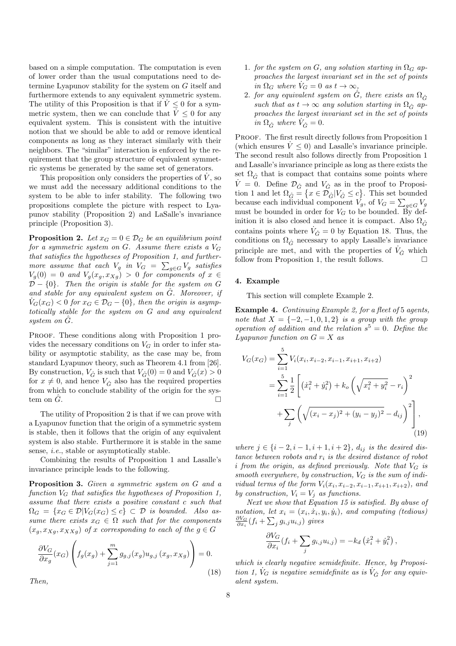based on a simple computation. The computation is even of lower order than the usual computations need to determine Lyapunov stability for the system on G itself and furthermore extends to any equivalent symmetric system. The utility of this Proposition is that if  $\dot{V} \leq 0$  for a symmetric system, then we can conclude that  $\dot{V} \leq 0$  for any equivalent system. This is consistent with the intuitive notion that we should be able to add or remove identical components as long as they interact similarly with their neighbors. The "similar" interaction is enforced by the requirement that the group structure of equivalent symmetric systems be generated by the same set of generators.

This proposition only considers the properties of  $\dot{V}$ , so we must add the necessary additional conditions to the system to be able to infer stability. The following two propositions complete the picture with respect to Lyapunov stability (Proposition 2) and LaSalle's invariance principle (Proposition 3).

**Proposition 2.** Let  $x_G = 0 \in \mathcal{D}_G$  be an equilibrium point for a symmetric system on  $G$ . Assume there exists a  $V_G$ that satisfies the hypotheses of Proposition 1, and furthermore assume that each  $V_g$  in  $V_G = \sum_{g \in G} V_g$  satisfies  $V_g(0) = 0$  and  $V_g(x_g, x_{Xg}) > 0$  for components of  $x \in$  $\mathcal{D} - \{0\}$ . Then the origin is stable for the system on G and stable for any equivalent system on  $\hat{G}$ . Moreover, if  $V_G(x_G) < 0$  for  $x_G \in \mathcal{D}_G - \{0\}$ , then the origin is asymptotically stable for the system on G and any equivalent system on  $G$ .

PROOF. These conditions along with Proposition 1 provides the necessary conditions on  $V_G$  in order to infer stability or asymptotic stability, as the case may be, from standard Lyapunov theory, such as Theorem 4.1 from [26]. By construction,  $V_{\hat{G}}$  is such that  $V_{\hat{G}}(0) = 0$  and  $V_{\hat{G}}(x) > 0$ for  $x \neq 0$ , and hence  $V_{\hat{G}}$  also has the required properties from which to conclude stability of the origin for the system on  $\tilde{G}$ .

The utility of Proposition 2 is that if we can prove with a Lyapunov function that the origin of a symmetric system is stable, then it follows that the origin of any equivalent system is also stable. Furthermore it is stable in the same sense, i.e., stable or asymptotically stable.

Combining the results of Proposition 1 and Lasalle's invariance principle leads to the following.

Proposition 3. Given a symmetric system on G and a function  $V_G$  that satisfies the hypotheses of Proposition 1, assume that there exists a positive constant c such that  $\Omega_G = \{x_G \in \mathcal{D}|V_G(x_G) \leq c\} \subset \mathcal{D}$  is bounded. Also assume there exists  $x_G \in \Omega$  such that for the components  $(x_g, x_{Xg}, x_{XXg})$  of x corresponding to each of the  $g \in G$ 

$$
\frac{\partial V_G}{\partial x_g}(x_G) \left( f_g(x_g) + \sum_{j=1}^m g_{g,j}(x_g) u_{g,j}(x_g, x_{Xg}) \right) = 0.
$$
\n(18)

Then,

- 1. for the system on G, any solution starting in  $\Omega_G$  approaches the largest invariant set in the set of points in  $\Omega_G$  where  $V_G = 0$  as  $t \to \infty$ ,
- 2. for any equivalent system on  $\hat{G}$ , there exists an  $\Omega_{\hat{G}}$ such that as  $t \to \infty$  any solution starting in  $\Omega_{\hat{G}}$  approaches the largest invariant set in the set of points in  $\Omega_{\hat{G}}$  where  $\dot{V}_{\hat{G}}=0$ .

PROOF. The first result directly follows from Proposition 1 (which ensures  $\dot{V} \leq 0$ ) and Lasalle's invariance principle. The second result also follows directly from Proposition 1 and Lasalle's invariance principle as long as there exists the set  $\Omega_{\hat{G}}$  that is compact that contains some points where  $\dot{V} = 0$ . Define  $\mathcal{D}_{\hat{G}}$  and  $V_{\hat{G}}$  as in the proof to Proposition 1 and let  $\Omega_{\hat{G}} = \{x \in \overline{\mathcal{D}}_{\hat{G}} | V_{\hat{G}} \leq c\}$ . This set bounded because each individual component  $V_g$ , of  $V_G = \sum_{g \in G} V_g$ must be bounded in order for  $V_G$  to be bounded. By definition it is also closed and hence it is compact. Also  $\Omega_{\hat{C}}$ contains points where  $\dot{V}_{\hat{G}} = 0$  by Equation 18. Thus, the conditions on  $\Omega_{\hat{G}}$  necessary to apply Lasalle's invariance principle are met, and with the properties of  $\dot{V}_{\hat{G}}$  which follow from Proposition 1, the result follows.  $\Box$ 

# 4. Example

This section will complete Example 2.

Example 4. Continuing Example 2, for a fleet of 5 agents, note that  $X = \{-2, -1, 0, 1, 2\}$  is a group with the group operation of addition and the relation  $s^5 = 0$ . Define the Lyapunov function on  $G = X$  as

$$
V_G(x_G) = \sum_{i=1}^5 V_i(x_i, x_{i-2}, x_{i-1}, x_{i+1}, x_{i+2})
$$
  
= 
$$
\sum_{i=1}^5 \frac{1}{2} \left[ (\dot{x}_i^2 + \dot{y}_i^2) + k_o \left( \sqrt{x_i^2 + y_i^2} - r_i \right)^2 + \sum_j \left( \sqrt{(x_i - x_j)^2 + (y_i - y_j)^2} - d_{ij} \right)^2 \right],
$$
  
(19)

where  $j \in \{i-2, i-1, i+1, i+2\}$ ,  $d_{ij}$  is the desired distance between robots and  $r_i$  is the desired distance of robot i from the origin, as defined previously. Note that  $V_G$  is smooth everywhere, by construction,  $V_G$  is the sum of individual terms of the form  $V_i(x_i, x_{i-2}, x_{i-1}, x_{i+1}, x_{i+2})$ , and by construction,  $V_i = V_j$  as functions.

Next we show that Equation 15 is satisfied. By abuse of notation, let  $x_i = (x_i, \dot{x}_i, y_i, \dot{y}_i)$ , and computing (tedious)  $\frac{\partial V_G}{\partial x_i}(f_i + \sum_j g_{i,j}u_{i,j})$  gives

$$
\frac{\partial V_G}{\partial x_i}(f_i + \sum_j g_{i,j} u_{i,j}) = -k_d \left(\dot{x}_i^2 + \dot{y}_i^2\right),
$$

which is clearly negative semidefinite. Hence, by Proposition 1,  $\dot{V}_G$  is negative semidefinite as is  $\dot{V}_{\hat{G}}$  for any equivalent system.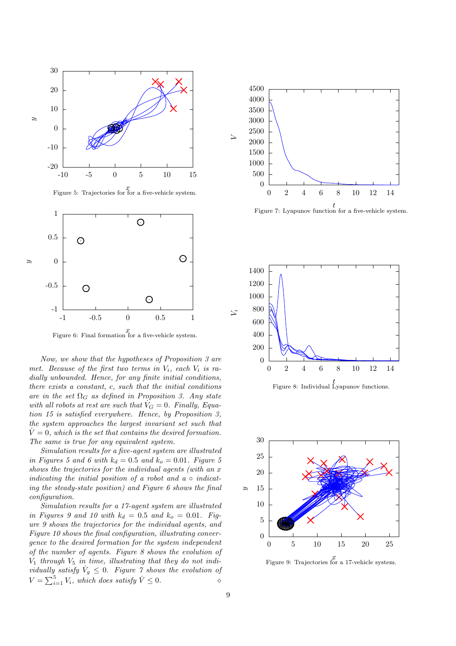

Figure 5: Trajectories for for a five-vehicle system.



Figure 6: Final formation for a five-vehicle system.

Now, we show that the hypotheses of Proposition 3 are met. Because of the first two terms in  $V_i$ , each  $V_i$  is radially unbounded. Hence, for any finite initial conditions, there exists a constant, c, such that the initial conditions are in the set  $\Omega_G$  as defined in Proposition 3. Any state with all robots at rest are such that  $V_G = 0$ . Finally, Equation 15 is satisfied everywhere. Hence, by Proposition 3, the system approaches the largest invariant set such that  $\dot{V}=0$ , which is the set that contains the desired formation. The same is true for any equivalent system.

Simulation results for a five-agent system are illustrated in Figures 5 and 6 with  $k_d = 0.5$  and  $k_o = 0.01$ . Figure 5 shows the trajectories for the individual agents (with an x indicating the initial position of a robot and  $a \circ \text{indict-}$ ing the steady-state position) and Figure 6 shows the final configuration.

Simulation results for a 17-agent system are illustrated in Figures 9 and 10 with  $k_d = 0.5$  and  $k_o = 0.01$ . Figure 9 shows the trajectories for the individual agents, and Figure 10 shows the final configuration, illustrating convergence to the desired formation for the system independent of the number of agents. Figure 8 shows the evolution of  $V_1$  through  $V_5$  in time, illustrating that they do not individually satisfy  $V_g \leq 0$ . Figure 7 shows the evolution of  $V = \sum_{i=1}^{5} V_i$ , which does satisfy  $\dot{V} \leq 0$ .



Figure 7: Lyapunov function for a five-vehicle system.



 $x$  Figure 9: Trajectories for a 17-vehicle system.

 $V_i$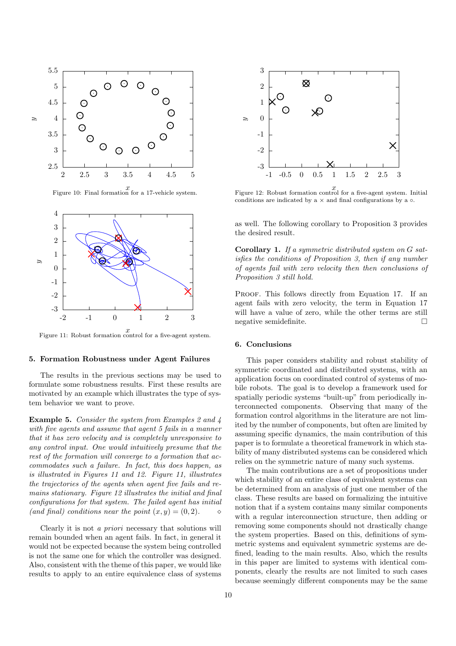

Figure 10: Final formation for a 17-vehicle system.



Figure 11: Robust formation control for a five-agent system.

#### 5. Formation Robustness under Agent Failures

The results in the previous sections may be used to formulate some robustness results. First these results are motivated by an example which illustrates the type of system behavior we want to prove.

Example 5. Consider the system from Examples 2 and 4 with five agents and assume that agent 5 fails in a manner that it has zero velocity and is completely unresponsive to any control input. One would intuitively presume that the rest of the formation will converge to a formation that accommodates such a failure. In fact, this does happen, as is illustrated in Figures 11 and 12. Figure 11, illustrates the trajectories of the agents when agent five fails and remains stationary. Figure 12 illustrates the initial and final configurations for that system. The failed agent has initial (and final) conditions near the point  $(x, y) = (0, 2)$ .  $\diamond$ 

Clearly it is not a priori necessary that solutions will remain bounded when an agent fails. In fact, in general it would not be expected because the system being controlled is not the same one for which the controller was designed. Also, consistent with the theme of this paper, we would like results to apply to an entire equivalence class of systems



Figure 12: Robust formation control for a five-agent system. Initial conditions are indicated by  $a \times$  and final configurations by a  $\circ$ .

as well. The following corollary to Proposition 3 provides the desired result.

Corollary 1. If a symmetric distributed system on G satisfies the conditions of Proposition 3, then if any number of agents fail with zero velocity then then conclusions of Proposition 3 still hold.

PROOF. This follows directly from Equation 17. If an agent fails with zero velocity, the term in Equation 17 will have a value of zero, while the other terms are still negative semidefinite.

### 6. Conclusions

This paper considers stability and robust stability of symmetric coordinated and distributed systems, with an application focus on coordinated control of systems of mobile robots. The goal is to develop a framework used for spatially periodic systems "built-up" from periodically interconnected components. Observing that many of the formation control algorithms in the literature are not limited by the number of components, but often are limited by assuming specific dynamics, the main contribution of this paper is to formulate a theoretical framework in which stability of many distributed systems can be considered which relies on the symmetric nature of many such systems.

The main contributions are a set of propositions under which stability of an entire class of equivalent systems can be determined from an analysis of just one member of the class. These results are based on formalizing the intuitive notion that if a system contains many similar components with a regular interconnection structure, then adding or removing some components should not drastically change the system properties. Based on this, definitions of symmetric systems and equivalent symmetric systems are defined, leading to the main results. Also, which the results in this paper are limited to systems with identical components, clearly the results are not limited to such cases because seemingly different components may be the same